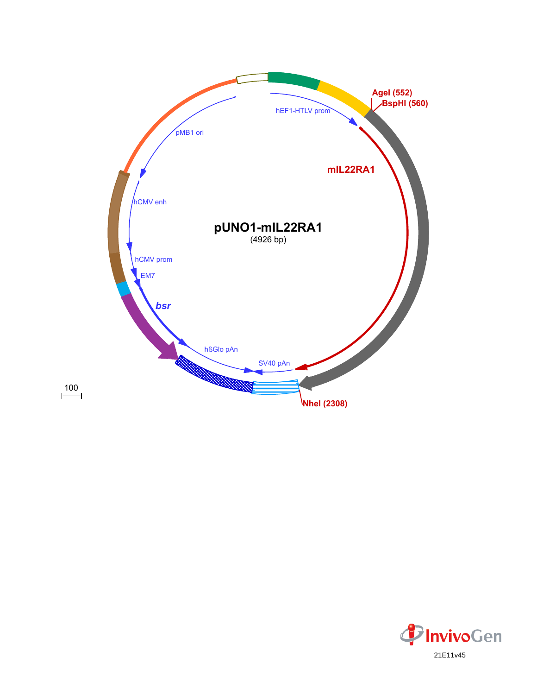

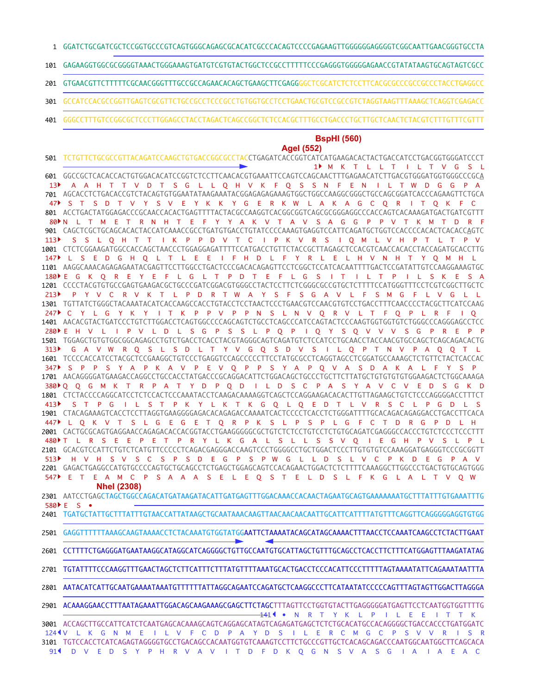- GGATCTGCGATCGCTCCGGTGCCCGTCAGTGGGCAGAGCGCACATCGCCCACAGTCCCCGAGAAGTTGGGGGGAGGGGTCGGCAATTGAACGGGTGCCTA 1
- GAGAAGGTGGCGCGGGGTAAACTGGGAAAGTGATGTCGTGTACTGGCTCCGCCTTTTTCCCGAGGGTGGGGGAGAACCGTATATAAGTGCAGTAGTCGCC 101
- GTGAACGTTCTTTTTCGCAACGGGTTTGCCGCCAGAACACAGCTGAAGCTTCGAGGGGCTCGCATCTCTCCTTCACGCGCCCGCCGCCCTACCTGAGGCC 201
- GCCATCCACGCCGGTTGAGTCGCGTTCTGCCGCCTCCCGCCTGTGGTGCCTCCTGAACTGCGTCCGCCGTCTAGGTAAGTTTAAAGCTCAGGTCGAGACC 301
- GGGCCTTTGTCCGGCGCTCCCTTGGAGCCTACCTAGACTCAGCCGGCTCTCCACGCTTTGCCTGACCCTGCTTGCTCAACTCTACGTCTTTGTTTCGTTT 401

## **BspHI (560)**

## **AgeI (552)**

TCTGTTCTGCGCCGTTACAGATCCAAGCTGTGACCGGCGCCTACCTGAGATCACCGGTCATCATGAAGACACTACTGACCATCCTGACGGTGGGATCCCT 501 GGCCGCTCACACCACTGTGGACACATCCGGTCTCCTTCAACACGTGAAATTCCAGTCCAGCAACTTTGAGAACATCTTGACGTGGGATGGTGGGCCCGCA 601 AGCACCTCTGACACCGTCTACAGTGTGGAATATAAGAAATACGGAGAGAGAAAGTGGCTGGCCAAGGCGGGCTGCCAGCGGATCACCCAGAAGTTCTGCA 701 ACCTGACTATGGAGACCCGCAACCACACTGAGTTTTACTACGCCAAGGTCACGGCGGTCAGCGCGGGAGGCCCACCAGTCACAAAGATGACTGATCGTTT 801 CAGCTCGCTGCAGCACACTACCATCAAACCGCCTGATGTGACCTGTATCCCCAAAGTGAGGTCCATTCAGATGCTGGTCCACCCCACACTCACACCAGTC 901 CTCTCGGAAGATGGCCACCAGCTAACCCTGGAGGAGATTTTCCATGACCTGTTCTACCGCTTAGAGCTCCACGTCAACCACACCTACCAGATGCACCTTG 1001 1101 AAGGCAAACAGAGAGAATACGAGTTCCTTGGCCTGACTCCCGACACAGAGTTCCTCGGCTCCATCACAATTTTGACTCCGATATTGTCCAAGGAAAGTGC 1201 CCCCTACGTGTGCCGAGTGAAGACGCTGCCCGATCGGACGTGGGCCTACTCCTTCTCGGGCGCCGTGCTCTTTTCCATGGGTTTCCTCGTCGGCTTGCTC 1301 TGTTATCTGGGCTACAAATACATCACCAAGCCACCTGTACCTCCTAACTCCCTGAACGTCCAACGTGTCCTGACCTTTCAACCCCTACGCTTCATCCAAG AACACGTACTGATCCCTGTCTTGGACCTCAGTGGCCCCAGCAGTCTGCCTCAGCCCATCCAGTACTCCCAAGTGGTGGTGTCTGGGCCCAGGGAGCCTCC 1401 1501 TGGAGCTGTGTGGCGGCAGAGCCTGTCTGACCTCACCTACGTAGGGCAGTCAGATGTCTCCATCCTGCAACCTACCAACGTGCCAGCTCAGCAGACACTG TCCCCACCATCCTACGCTCCGAAGGCTGTCCCTGAGGTCCAGCCCCCTTCCTATGCGCCTCAGGTAGCCTCGGATGCCAAAGCTCTGTTCTACTCACCAC 1601 AACAGGGGATGAAGACCAGGCCTGCCACCTATGACCCGCAGGACATTCTGGACAGCTGCCCTGCTTCTTATGCTGTGTGTGTGGAAGACTCTGGCAAAGA 1701 1801 CTCTACCCCAGGCATCCTCTCCACTCCCAAATACCTCAAGACAAAAGGTCAGCTCCAGGAAGACACACTTGTTAGAAGCTGTCTCCCAGGGGACCTTTCT CTACAGAAAGTCACCTCCTTAGGTGAAGGGGAGACACAGAGACCAAAATCACTCCCCTCACCTCTGGGATTTTGCACAGACAGAGGACCTGACCTTCACA 1901 CACTGCGCAGTGAGGAACCAGAGACACCACGGTACCTGAAGGGGGCGCTGTCTCTCCTGTCCTCTGTGCAGATCGAGGGCCACCCTGTCTCCCTCCCTTT 2001 2101 GCACGTCCATTCTGTCTCATGTTCCCCCTCAGACGAGGGACCAAGTCCCTGGGGCCTGCTGGACTCCCTTGTGTGTCCAAAGGATGAGGGTCCCGCGGTT 2201 GAGACTGAGGCCATGTGCCCCAGTGCTGCAGCCTCTGAGCTGGAGCAGTCCACAGAACTGGACTCTCTTTTCAAAGGCTTGGCCCTGACTGTGCAGTGGG 2301 AATCCTGAGCTAGCTGGCCAGACATGATAAGATACATTGATGAGTTTGGACAAACCACAACTAGAATGCAGTGAAAAAAATGCTTTATTTGTGAAATTTG TGATGCTATTGCTTTATTTGTAACCATTATAAGCTGCAATAAACAAGTTAACAACAACAATTGCATTCATTTTATGTTTCAGGTTCAGGGGGAGGTGTGG 2401 GAGGTTTTTTAAAGCAAGTAAAACCTCTACAAATGTGGTATGGAATTCTAAAATACAGCATAGCAAAACTTTAACCTCCAAATCAAGCCTCTACTTGAAT CCTTTTCTGAGGGATGAATAAGGCATAGGCATCAGGGGCTGTTGCCAATGTGCATTAGCTGTTTGCAGCCTCACCTTCTTTCATGGAGTTTAAGATATAG TGTATTTTCCCAAGGTTTGAACTAGCTCTTCATTTCTTTATGTTTTAAATGCACTGACCTCCCACATTCCCTTTTTAGTAAAATATTCAGAAATAATTTA 2801 AATACATCATTGCAATGAAAATAAATGTTTTTTATTAGGCAGAATCCAGATGCTCAAGGCCCTTCATAATATCCCCCAGTTTAGTAGTTGGACTTAGGGA 2901 ACAAAGGAACCTTTAATAGAAATTGGACAGCAAGAAAGCGAGCTTCTAGCTTTAGTTCCTGGTGTACTTGAGGGGGATGAGTTCCTCAATGGTGGTTTTG 3001 ACCAGCTTGCCATTCATCTCAATGAGCACAAAGCAGTCAGGAGCATAGTCAGAGATGAGCTCTCTGCACATGCCACAGGGGCTGACCACCCTGATGGATC 3101 TGTCCACCTCATCAGAGTAGGGGTGCCTGACAGCCACAATGGTGTCAAAGTCCTTCTGCCCGTTGCTCACAGCAGACCCAATGGCAATGGCTTCAGCACA • N R T Y K L P I L E E I T T K 141 124 U L K G N M E I L V F C D P A Y D S I L E R C M G C P S V V R I S R D V E D S Y P H R V A V I T D F D K Q G N S V A S G I A I A E A C 91 M K T L L T I L T V G S L 1 A A H T T V D T S G L L O H V K F O S S N F E N I L T W D G G P S D T V Y S V E Y K K Y G E R K W L A K A G C O R I T O K F N L T M E T R N H T E F Y Y A K V T A V S A G G P P V T K M T D R F S S L Q H T T I K P P D V T C I P K V R S I Q M L V H P T L T P V L S E D G H Q L T L E E I F H D L F Y R L E L H V N H T Y Q M H L 147 E G K Q R E Y E F L G L T P D T E F L G S I T I L T P I L S K E S A 180 P Y V C R V K T L P D R T W A Y S F S G A V L F S M G F L V G L L C Y L G Y K Y I T K P P V P P N S L N V Q R V L T F Q P L R F I Q 247 E H V L I P V L D L S G P S S L P Q P I Q Y S Q V V V S G P R E P P 280 G A V W R Q S L S D L T Y V G Q S D V S I L Q P T N V P A Q Q T L S P P S Y A P K A V P E V Q P P S Y A P Q V A S D A K A L F Y S P 347 Q Q G M K T R P A T Y D P Q D I L D S C P A S Y A V C V E D S G K D 380 S T P G I L S T P K Y L K T K G Q L Q E D T L V R S C L P G D L S 413 L Q K V T S L G E G E T Q R P K S L P S P L G F C T D R G P D L H 447 480 FL R S E E P E T P R Y L K G A L S L L S S V Q I E G H P V S L P L H V H S V S C S P S D E G P S P W G L L D S L V C P K D E G P A V E T E A M C P S A A A S E L E Q S T E L D S L F K G L A L T V Q W E S • 580**NheI (2308)** 2501 2601 2701  $13<sup>b</sup>$  $47$  S T 80  $113$  $213$  $313$ 513 547